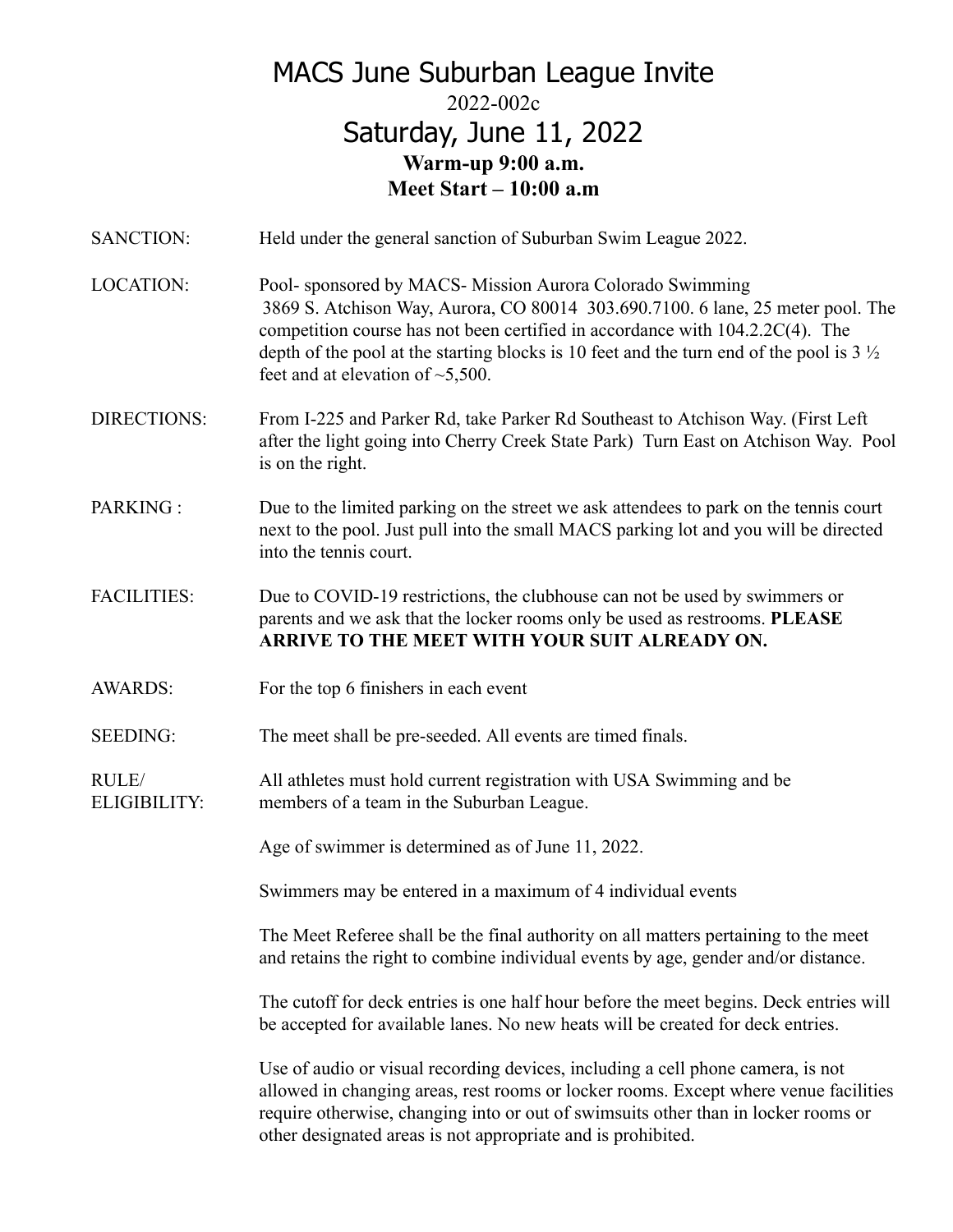## MACS June Suburban League Invite 2022-002c Saturday, June 11, 2022 **Warm-up 9:00 a.m. Meet Start – 10:00 a.m**

| SANCTION:                    | Held under the general sanction of Suburban Swim League 2022.                                                                                                                                                                                                                                                                                                                 |
|------------------------------|-------------------------------------------------------------------------------------------------------------------------------------------------------------------------------------------------------------------------------------------------------------------------------------------------------------------------------------------------------------------------------|
| <b>LOCATION:</b>             | Pool- sponsored by MACS- Mission Aurora Colorado Swimming<br>3869 S. Atchison Way, Aurora, CO 80014 303.690.7100. 6 lane, 25 meter pool. The<br>competition course has not been certified in accordance with 104.2.2C(4). The<br>depth of the pool at the starting blocks is 10 feet and the turn end of the pool is $3\frac{1}{2}$<br>feet and at elevation of $\sim$ 5,500. |
| <b>DIRECTIONS:</b>           | From I-225 and Parker Rd, take Parker Rd Southeast to Atchison Way. (First Left<br>after the light going into Cherry Creek State Park) Turn East on Atchison Way. Pool<br>is on the right.                                                                                                                                                                                    |
| PARKING:                     | Due to the limited parking on the street we ask attendees to park on the tennis court<br>next to the pool. Just pull into the small MACS parking lot and you will be directed<br>into the tennis court.                                                                                                                                                                       |
| <b>FACILITIES:</b>           | Due to COVID-19 restrictions, the clubhouse can not be used by swimmers or<br>parents and we ask that the locker rooms only be used as restrooms. PLEASE<br>ARRIVE TO THE MEET WITH YOUR SUIT ALREADY ON.                                                                                                                                                                     |
| <b>AWARDS:</b>               | For the top 6 finishers in each event                                                                                                                                                                                                                                                                                                                                         |
| <b>SEEDING:</b>              | The meet shall be pre-seeded. All events are timed finals.                                                                                                                                                                                                                                                                                                                    |
| RULE/<br><b>ELIGIBILITY:</b> | All athletes must hold current registration with USA Swimming and be<br>members of a team in the Suburban League.                                                                                                                                                                                                                                                             |
|                              | Age of swimmer is determined as of June 11, 2022.                                                                                                                                                                                                                                                                                                                             |
|                              | Swimmers may be entered in a maximum of 4 individual events                                                                                                                                                                                                                                                                                                                   |
|                              | The Meet Referee shall be the final authority on all matters pertaining to the meet<br>and retains the right to combine individual events by age, gender and/or distance.                                                                                                                                                                                                     |
|                              | The cutoff for deck entries is one half hour before the meet begins. Deck entries will<br>be accepted for available lanes. No new heats will be created for deck entries.                                                                                                                                                                                                     |

Use of audio or visual recording devices, including a cell phone camera, is not allowed in changing areas, rest rooms or locker rooms. Except where venue facilities require otherwise, changing into or out of swimsuits other than in locker rooms or other designated areas is not appropriate and is prohibited.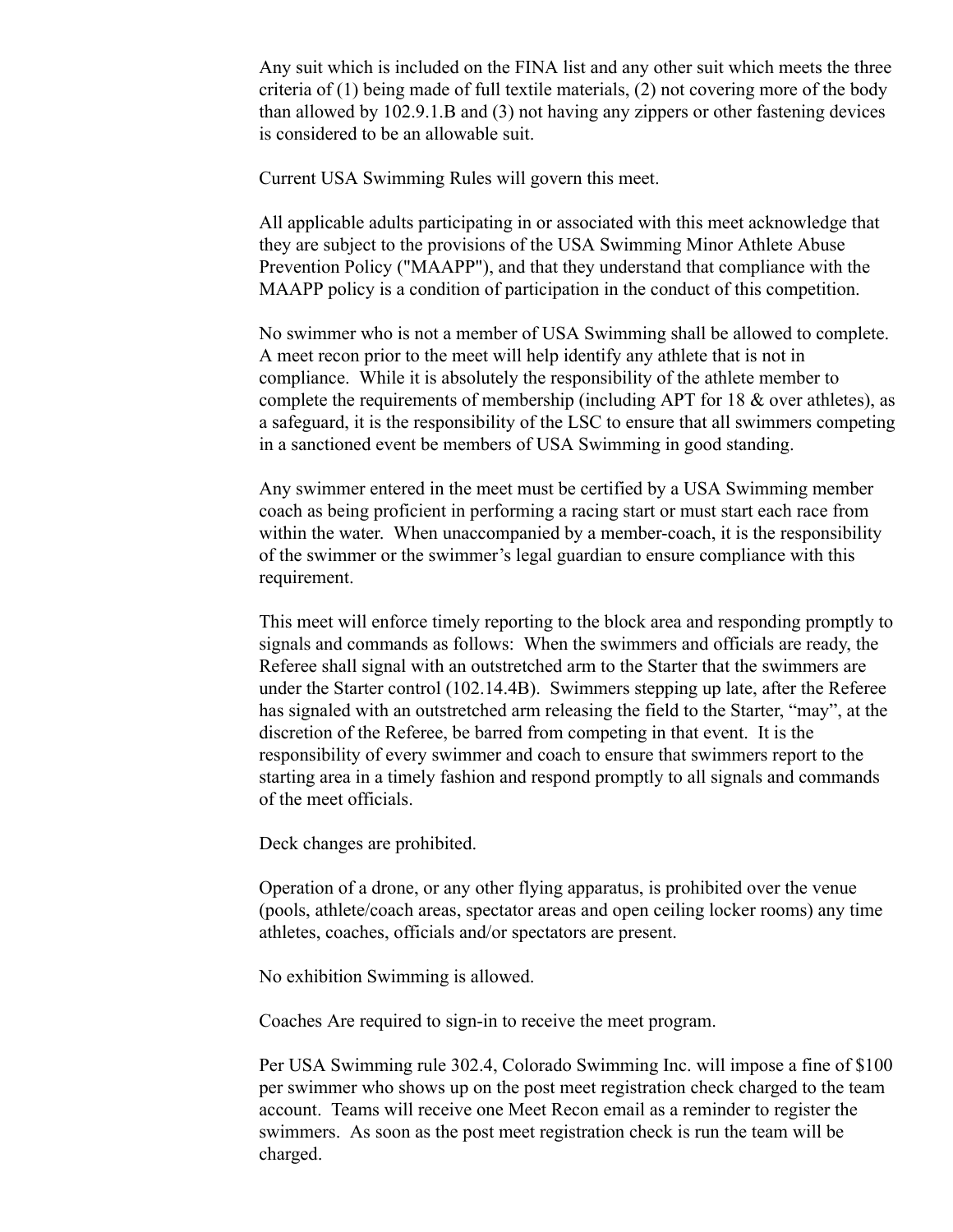Any suit which is included on the FINA list and any other suit which meets the three criteria of (1) being made of full textile materials, (2) not covering more of the body than allowed by 102.9.1.B and (3) not having any zippers or other fastening devices is considered to be an allowable suit.

Current USA Swimming Rules will govern this meet.

All applicable adults participating in or associated with this meet acknowledge that they are subject to the provisions of the USA Swimming Minor Athlete Abuse Prevention Policy ("MAAPP"), and that they understand that compliance with the MAAPP policy is a condition of participation in the conduct of this competition.

No swimmer who is not a member of USA Swimming shall be allowed to complete. A meet recon prior to the meet will help identify any athlete that is not in compliance. While it is absolutely the responsibility of the athlete member to complete the requirements of membership (including APT for 18 & over athletes), as a safeguard, it is the responsibility of the LSC to ensure that all swimmers competing in a sanctioned event be members of USA Swimming in good standing.

Any swimmer entered in the meet must be certified by a USA Swimming member coach as being proficient in performing a racing start or must start each race from within the water. When unaccompanied by a member-coach, it is the responsibility of the swimmer or the swimmer's legal guardian to ensure compliance with this requirement.

This meet will enforce timely reporting to the block area and responding promptly to signals and commands as follows: When the swimmers and officials are ready, the Referee shall signal with an outstretched arm to the Starter that the swimmers are under the Starter control (102.14.4B). Swimmers stepping up late, after the Referee has signaled with an outstretched arm releasing the field to the Starter, "may", at the discretion of the Referee, be barred from competing in that event. It is the responsibility of every swimmer and coach to ensure that swimmers report to the starting area in a timely fashion and respond promptly to all signals and commands of the meet officials.

Deck changes are prohibited.

Operation of a drone, or any other flying apparatus, is prohibited over the venue (pools, athlete/coach areas, spectator areas and open ceiling locker rooms) any time athletes, coaches, officials and/or spectators are present.

No exhibition Swimming is allowed.

Coaches Are required to sign-in to receive the meet program.

Per USA Swimming rule 302.4, Colorado Swimming Inc. will impose a fine of \$100 per swimmer who shows up on the post meet registration check charged to the team account. Teams will receive one Meet Recon email as a reminder to register the swimmers. As soon as the post meet registration check is run the team will be charged.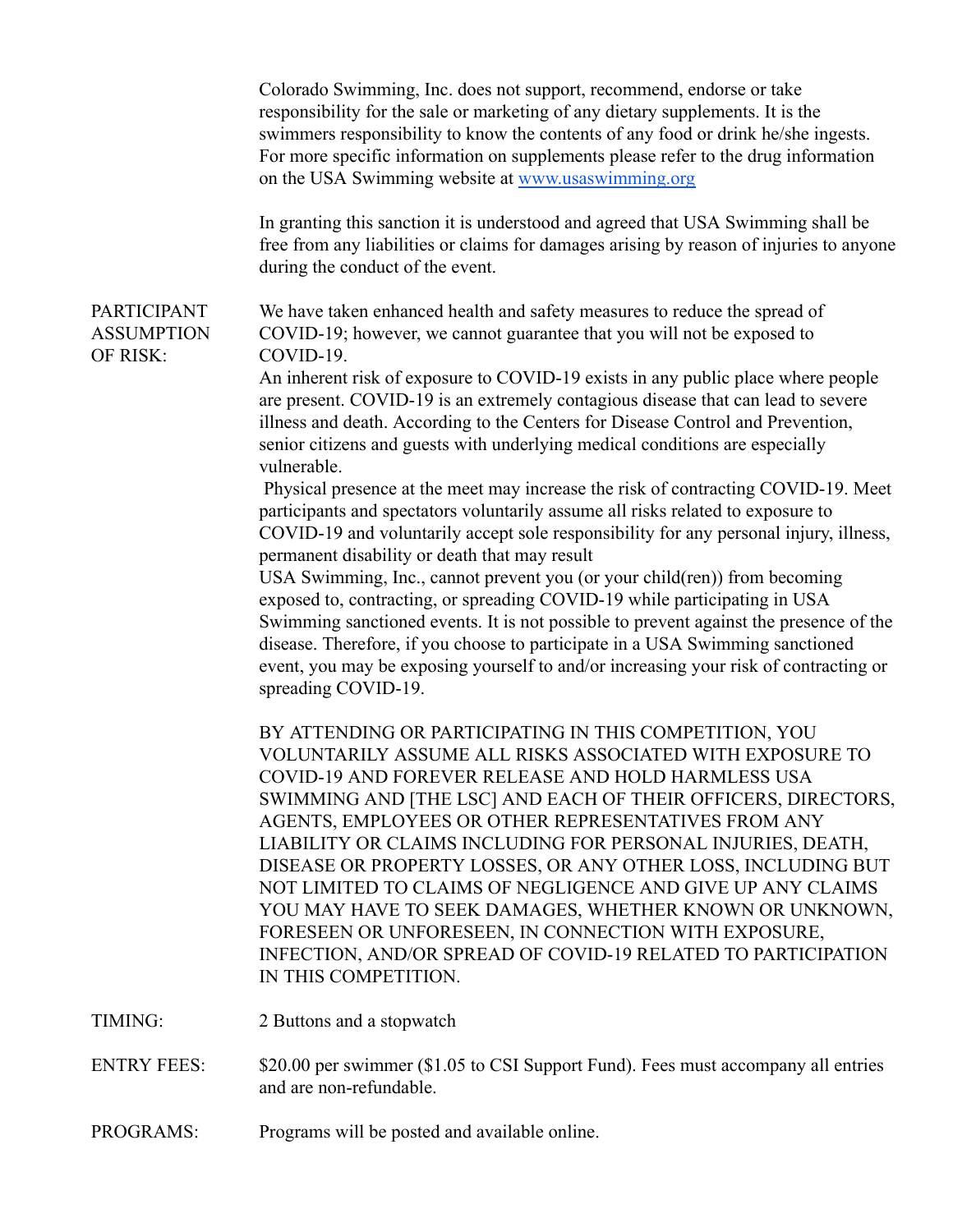|                                                     | Colorado Swimming, Inc. does not support, recommend, endorse or take<br>responsibility for the sale or marketing of any dietary supplements. It is the<br>swimmers responsibility to know the contents of any food or drink he/she ingests.<br>For more specific information on supplements please refer to the drug information<br>on the USA Swimming website at www.usaswimming.org                                                                                                                                                                                                                                                                                                                                                                                                                                                                                                                                                                                                                                                                                                                                                                                                                                                                                                          |
|-----------------------------------------------------|-------------------------------------------------------------------------------------------------------------------------------------------------------------------------------------------------------------------------------------------------------------------------------------------------------------------------------------------------------------------------------------------------------------------------------------------------------------------------------------------------------------------------------------------------------------------------------------------------------------------------------------------------------------------------------------------------------------------------------------------------------------------------------------------------------------------------------------------------------------------------------------------------------------------------------------------------------------------------------------------------------------------------------------------------------------------------------------------------------------------------------------------------------------------------------------------------------------------------------------------------------------------------------------------------|
|                                                     | In granting this sanction it is understood and agreed that USA Swimming shall be<br>free from any liabilities or claims for damages arising by reason of injuries to anyone<br>during the conduct of the event.                                                                                                                                                                                                                                                                                                                                                                                                                                                                                                                                                                                                                                                                                                                                                                                                                                                                                                                                                                                                                                                                                 |
| <b>PARTICIPANT</b><br><b>ASSUMPTION</b><br>OF RISK: | We have taken enhanced health and safety measures to reduce the spread of<br>COVID-19; however, we cannot guarantee that you will not be exposed to<br>COVID-19.<br>An inherent risk of exposure to COVID-19 exists in any public place where people<br>are present. COVID-19 is an extremely contagious disease that can lead to severe<br>illness and death. According to the Centers for Disease Control and Prevention,<br>senior citizens and guests with underlying medical conditions are especially<br>vulnerable.<br>Physical presence at the meet may increase the risk of contracting COVID-19. Meet<br>participants and spectators voluntarily assume all risks related to exposure to<br>COVID-19 and voluntarily accept sole responsibility for any personal injury, illness,<br>permanent disability or death that may result<br>USA Swimming, Inc., cannot prevent you (or your child(ren)) from becoming<br>exposed to, contracting, or spreading COVID-19 while participating in USA<br>Swimming sanctioned events. It is not possible to prevent against the presence of the<br>disease. Therefore, if you choose to participate in a USA Swimming sanctioned<br>event, you may be exposing yourself to and/or increasing your risk of contracting or<br>spreading COVID-19. |
|                                                     | BY ATTENDING OR PARTICIPATING IN THIS COMPETITION, YOU<br>VOLUNTARILY ASSUME ALL RISKS ASSOCIATED WITH EXPOSURE TO<br><b>COVID-19 AND FOREVER RELEASE AND HOLD HARMLESS USA</b><br>SWIMMING AND [THE LSC] AND EACH OF THEIR OFFICERS, DIRECTORS,<br>AGENTS, EMPLOYEES OR OTHER REPRESENTATIVES FROM ANY<br>LIABILITY OR CLAIMS INCLUDING FOR PERSONAL INJURIES, DEATH,<br>DISEASE OR PROPERTY LOSSES, OR ANY OTHER LOSS, INCLUDING BUT<br>NOT LIMITED TO CLAIMS OF NEGLIGENCE AND GIVE UP ANY CLAIMS<br>YOU MAY HAVE TO SEEK DAMAGES, WHETHER KNOWN OR UNKNOWN,<br>FORESEEN OR UNFORESEEN, IN CONNECTION WITH EXPOSURE,<br>INFECTION, AND/OR SPREAD OF COVID-19 RELATED TO PARTICIPATION<br>IN THIS COMPETITION.                                                                                                                                                                                                                                                                                                                                                                                                                                                                                                                                                                                |
| TIMING:                                             | 2 Buttons and a stopwatch                                                                                                                                                                                                                                                                                                                                                                                                                                                                                                                                                                                                                                                                                                                                                                                                                                                                                                                                                                                                                                                                                                                                                                                                                                                                       |
| <b>ENTRY FEES:</b>                                  | \$20.00 per swimmer (\$1.05 to CSI Support Fund). Fees must accompany all entries<br>and are non-refundable.                                                                                                                                                                                                                                                                                                                                                                                                                                                                                                                                                                                                                                                                                                                                                                                                                                                                                                                                                                                                                                                                                                                                                                                    |

PROGRAMS: Programs will be posted and available online.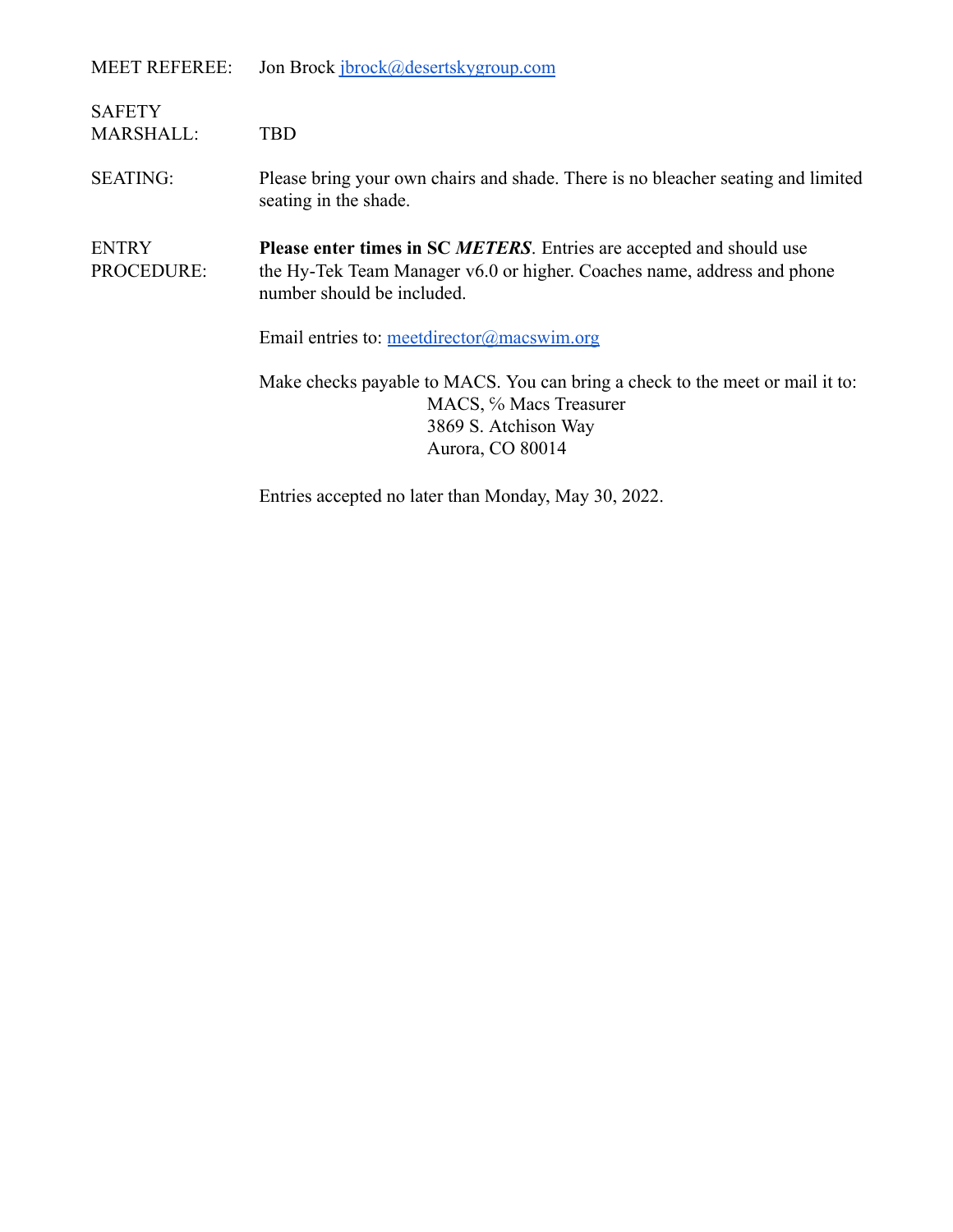| MEET REFEREE: | Jon Brock jbrock@desertskygroup.com |
|---------------|-------------------------------------|
|               |                                     |

| <b>SAFETY</b><br><b>MARSHALL:</b> | TBD                                                                                                                                                                                                                         |  |  |  |
|-----------------------------------|-----------------------------------------------------------------------------------------------------------------------------------------------------------------------------------------------------------------------------|--|--|--|
| <b>SEATING:</b>                   | Please bring your own chairs and shade. There is no bleacher seating and limited<br>seating in the shade.                                                                                                                   |  |  |  |
| <b>ENTRY</b><br>PROCEDURE:        | Please enter times in SC METERS. Entries are accepted and should use<br>the Hy-Tek Team Manager v6.0 or higher. Coaches name, address and phone<br>number should be included.<br>Email entries to: meetdirector@macswim.org |  |  |  |
|                                   | Make checks payable to MACS. You can bring a check to the meet or mail it to:<br>MACS, % Macs Treasurer<br>3869 S. Atchison Way<br>Aurora, CO 80014                                                                         |  |  |  |
|                                   | Entries accepted no later than Monday, May 30, 2022.                                                                                                                                                                        |  |  |  |